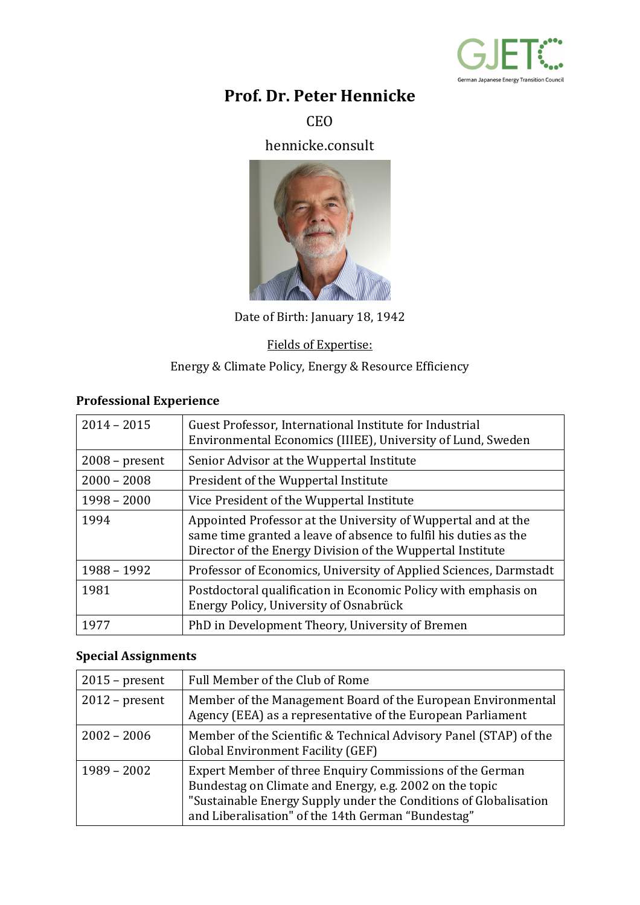

## **Prof. Dr. Peter Hennicke**

CEO

hennicke.consult



Date of Birth: January 18, 1942

Fields of Expertise:

Energy & Climate Policy, Energy & Resource Efficiency

## **Professional Experience**

| $2014 - 2015$    | Guest Professor, International Institute for Industrial<br>Environmental Economics (IIIEE), University of Lund, Sweden                                                                          |
|------------------|-------------------------------------------------------------------------------------------------------------------------------------------------------------------------------------------------|
| $2008$ – present | Senior Advisor at the Wuppertal Institute                                                                                                                                                       |
| $2000 - 2008$    | President of the Wuppertal Institute                                                                                                                                                            |
| $1998 - 2000$    | Vice President of the Wuppertal Institute                                                                                                                                                       |
| 1994             | Appointed Professor at the University of Wuppertal and at the<br>same time granted a leave of absence to fulfil his duties as the<br>Director of the Energy Division of the Wuppertal Institute |
| 1988 - 1992      | Professor of Economics, University of Applied Sciences, Darmstadt                                                                                                                               |
| 1981             | Postdoctoral qualification in Economic Policy with emphasis on<br>Energy Policy, University of Osnabrück                                                                                        |
| 1977             | PhD in Development Theory, University of Bremen                                                                                                                                                 |

## **Special Assignments**

| $2015$ – present | Full Member of the Club of Rome                                                                                                                                                                                                               |
|------------------|-----------------------------------------------------------------------------------------------------------------------------------------------------------------------------------------------------------------------------------------------|
| $2012$ – present | Member of the Management Board of the European Environmental<br>Agency (EEA) as a representative of the European Parliament                                                                                                                   |
| $2002 - 2006$    | Member of the Scientific & Technical Advisory Panel (STAP) of the<br><b>Global Environment Facility (GEF)</b>                                                                                                                                 |
| $1989 - 2002$    | Expert Member of three Enquiry Commissions of the German<br>Bundestag on Climate and Energy, e.g. 2002 on the topic<br>"Sustainable Energy Supply under the Conditions of Globalisation<br>and Liberalisation" of the 14th German "Bundestag" |